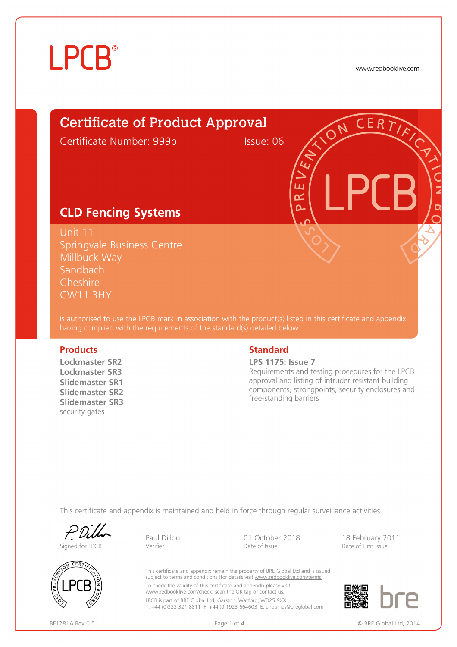# **LPCB**

www.redbooklive.com

# Certificate of Product Approval

Certificate Number: 999b Issue: 06

ய ๔  $\Omega$ 

### **CLD Fencing Systems**

Unit 11 Springvale Business Centre Millbuck Way Sandbach Cheshire CW11 3HY

is authorised to use the LPCB mark in association with the product(s) listed in this certificate and appendix having complied with the requirements of the standard(s) detailed below:

**Lockmaster SR2 Lockmaster SR3 Slidemaster SR1 Slidemaster SR2 Slidemaster SR3**  security gates

### **Products** Standard

**LPS 1175: Issue 7**

Requirements and testing procedures for the LPCB approval and listing of intruder resistant building components, strongpoints, security enclosures and free-standing barriers

This certificate and appendix is maintained and held in force through regular surveillance activities



BF1281A Rev 0.5 **Page 1 of 4** Page 1 of 4 **CONSECTED ASSECTED** BRE Global Ltd, 2014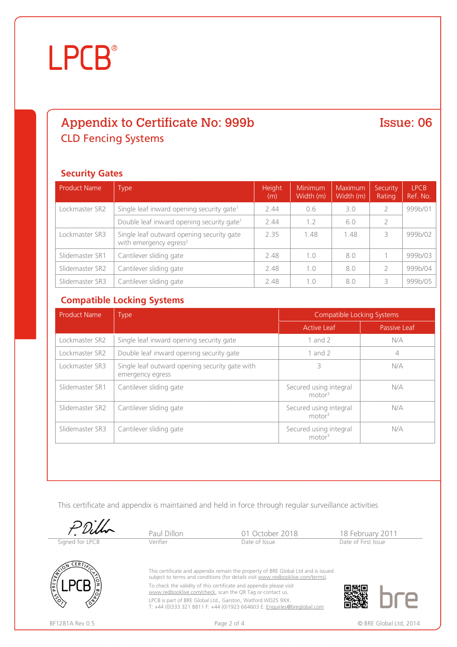# **LPCB**®

## Appendix to Certificate No: 999b **CLD Fencing Systems**

### Issue: 06

### **Security Gates**

| <b>Product Name</b> | <b>Type</b>                                                                     | Height<br>(m) | <b>Minimum</b><br>Width (m) | Maximum<br>Width (m) | Security<br>Rating | <b>LPCB</b><br>Ref. No. |
|---------------------|---------------------------------------------------------------------------------|---------------|-----------------------------|----------------------|--------------------|-------------------------|
| Lockmaster SR2      | Single leaf inward opening security gate <sup>1</sup>                           | 2.44          | 0.6                         | 3.0                  |                    | 999b/01                 |
|                     | Double leaf inward opening security gate <sup>1</sup>                           | 2.44          | 1.2                         | 6.0                  | 2                  |                         |
| Lockmaster SR3      | Single leaf outward opening security gate<br>with emergency egress <sup>2</sup> | 2.35          | 1.48                        | 1.48                 |                    | 999b/02                 |
| Slidemaster SR1     | Cantilever sliding gate                                                         | 2.48          | 1.0                         | 8.0                  |                    | 999b/03                 |
| Slidemaster SR2     | Cantilever sliding gate                                                         | 2.48          | 1.0                         | 8.0                  |                    | 999b/04                 |
| Slidemaster SR3     | Cantilever sliding gate                                                         | 2.48          | 1.0                         | 8.0                  |                    | 999b/05                 |

### **Compatible Locking Systems**

| <b>Product Name</b> | <b>Type</b>                                                        | <b>Compatible Locking Systems</b>            |              |  |
|---------------------|--------------------------------------------------------------------|----------------------------------------------|--------------|--|
|                     |                                                                    | <b>Active Leaf</b>                           | Passive Leaf |  |
| Lockmaster SR2      | Single leaf inward opening security gate                           | 1 and $2$                                    | N/A          |  |
| Lockmaster SR2      | Double leaf inward opening security gate                           | 1 and $2$                                    | 4            |  |
| Lockmaster SR3      | Single leaf outward opening security gate with<br>emergency egress | 3                                            | N/A          |  |
| Slidemaster SR1     | Cantilever sliding gate                                            | Secured using integral<br>motor <sup>3</sup> | N/A          |  |
| Slidemaster SR2     | Cantilever sliding gate                                            | Secured using integral<br>motor <sup>3</sup> | N/A          |  |
| Slidemaster SR3     | Cantilever sliding gate                                            | Secured using integral<br>motor <sup>3</sup> | N/A          |  |

This certificate and appendix is maintained and held in force through regular surveillance activities

Signed for LPCB

Paul Dillon 01 October 2018 18 February 2011



This certificate and appendix remain the property of BRE Global Ltd and is issued subject to terms and conditions (for details visit [www.redbooklive.com/terms\)](http://www.redbooklive.com/terms)). To check the validity of this certificate and appendix please visit [www.redbooklive.com/check,](http://www.redbooklive.com/check) scan the QR Tag or contact us.

LPCB is part of BRE Global Ltd., Garston, Watford WD25 9XX. T: +44 (0)333 321 8811 F: +44 (0)1923 664603 E: [Enquiries@breglobal.com](mailto:Enquiries@breglobal.com)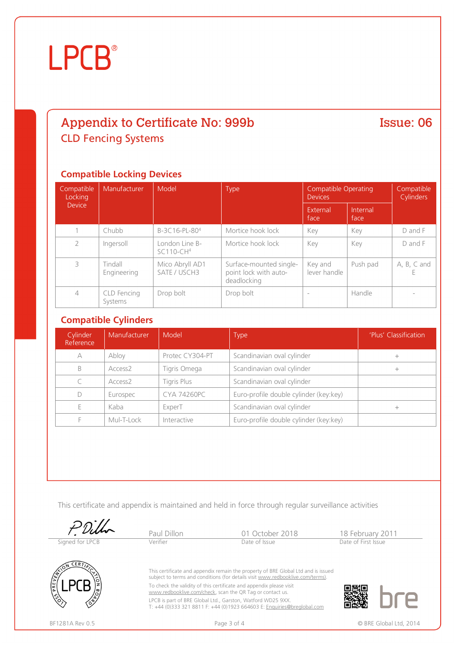# **LPCB**®

### Appendix to Certificate No: 999b **CLD Fencing Systems**

### **Compatible Locking Devices**

| Compatible<br>Locking | Manufacturer           | Model                           | <b>Type</b><br><b>Devices</b>                                   |                          | <b>Compatible Operating</b> | Compatible<br><b>Cylinders</b> |
|-----------------------|------------------------|---------------------------------|-----------------------------------------------------------------|--------------------------|-----------------------------|--------------------------------|
| <b>Device</b>         |                        |                                 |                                                                 | External<br>face         | Internal<br>face            |                                |
|                       | Chubb                  | B-3C16-PL-804                   | Mortice hook lock                                               | Key                      | Key                         | $D$ and $F$                    |
| $\overline{2}$        | Ingersoll              | London Line B-<br>$SC110-CH4$   | Mortice hook lock                                               | Key                      | Key                         | D and F                        |
| 3                     | Tindall<br>Engineering | Mico Abryll AD1<br>SATE / USCH3 | Surface-mounted single-<br>point lock with auto-<br>deadlocking | Key and<br>lever handle  | Push pad                    | $A, B, C$ and                  |
| 4                     | CLD Fencing<br>Systems | Drop bolt                       | Drop bolt                                                       | $\overline{\phantom{m}}$ | Handle                      |                                |

### **Compatible Cylinders**

| Cylinder<br>Reference | Manufacturer        | Model              | <b>Type</b>                            | 'Plus' Classification |
|-----------------------|---------------------|--------------------|----------------------------------------|-----------------------|
| А                     | Abloy               | Protec CY304-PT    | Scandinavian oval cylinder             |                       |
| B                     | Access <sub>2</sub> | Tigris Omega       | Scandinavian oval cylinder             |                       |
|                       | Access <sub>2</sub> | Tigris Plus        | Scandinavian oval cylinder             |                       |
| D                     | Eurospec            | <b>CYA 74260PC</b> | Euro-profile double cylinder (key:key) |                       |
|                       | Kaba                | ExperT             | Scandinavian oval cylinder             |                       |
|                       | Mul-T-Lock          | Interactive        | Euro-profile double cylinder (key:key) |                       |

This certificate and appendix is maintained and held in force through regular surveillance activities

Signed for LPCB

Paul Dillon 01 October 2018 18 February 2011



This certificate and appendix remain the property of BRE Global Ltd and is issued subject to terms and conditions (for details visit [www.redbooklive.com/terms\)](http://www.redbooklive.com/terms)). To check the validity of this certificate and appendix please visit [www.redbooklive.com/check,](http://www.redbooklive.com/check) scan the QR Tag or contact us.

LPCB is part of BRE Global Ltd., Garston, Watford WD25 9XX. T: +44 (0)333 321 8811 F: +44 (0)1923 664603 E: [Enquiries@breglobal.com](mailto:Enquiries@breglobal.com)  Issue: 06